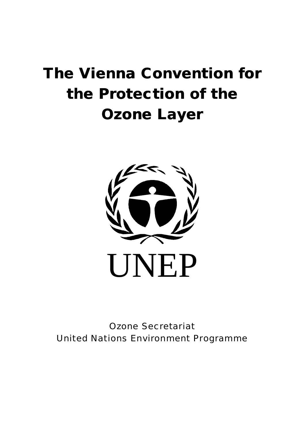# **The Vienna Convention for the Protection of the Ozone Layer**



Ozone Secretariat United Nations Environment Programme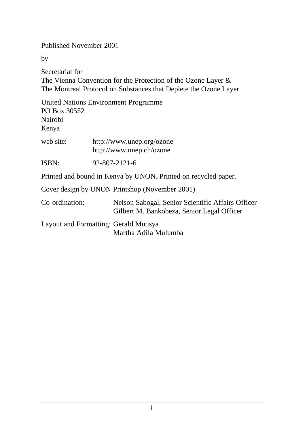Published November 2001

by

Secretariat for The Vienna Convention for the Protection of the Ozone Layer & The Montreal Protocol on Substances that Deplete the Ozone Layer

United Nations Environment Programme PO Box 30552 Nairobi Kenya web site: http://www.unep.org/ozone http://www.unep.ch/ozone

ISBN: 92-807-2121-6

Printed and bound in Kenya by UNON. Printed on recycled paper.

Cover design by UNON Printshop (November 2001)

Co-ordination: Nelson Sabogal, Senior Scientific Affairs Officer Gilbert M. Bankobeza, Senior Legal Officer

Layout and Formatting: Gerald Mutisya Martha Adila Mulumba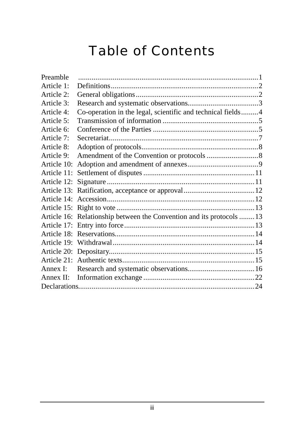# Table of Contents

| Preamble    |                                                                      |  |
|-------------|----------------------------------------------------------------------|--|
| Article 1:  |                                                                      |  |
| Article 2:  |                                                                      |  |
| Article 3:  |                                                                      |  |
| Article 4:  | Co-operation in the legal, scientific and technical fields4          |  |
| Article 5:  |                                                                      |  |
| Article 6:  |                                                                      |  |
| Article 7:  |                                                                      |  |
| Article 8:  |                                                                      |  |
| Article 9:  |                                                                      |  |
| Article 10: |                                                                      |  |
| Article 11: |                                                                      |  |
| Article 12: |                                                                      |  |
|             |                                                                      |  |
|             |                                                                      |  |
|             |                                                                      |  |
|             | Article 16: Relationship between the Convention and its protocols 13 |  |
|             |                                                                      |  |
|             |                                                                      |  |
|             |                                                                      |  |
|             |                                                                      |  |
|             |                                                                      |  |
|             |                                                                      |  |
|             |                                                                      |  |
|             |                                                                      |  |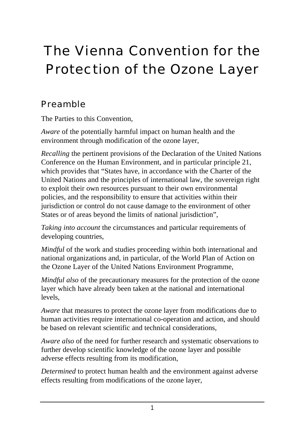# The Vienna Convention for the Protection of the Ozone Layer

#### Preamble

The Parties to this Convention,

*Aware* of the potentially harmful impact on human health and the environment through modification of the ozone layer,

*Recalling* the pertinent provisions of the Declaration of the United Nations Conference on the Human Environment, and in particular principle 21, which provides that "States have, in accordance with the Charter of the United Nations and the principles of international law, the sovereign right to exploit their own resources pursuant to their own environmental policies, and the responsibility to ensure that activities within their jurisdiction or control do not cause damage to the environment of other States or of areas beyond the limits of national jurisdiction",

*Taking into account* the circumstances and particular requirements of developing countries,

*Mindful* of the work and studies proceeding within both international and national organizations and, in particular, of the World Plan of Action on the Ozone Layer of the United Nations Environment Programme,

*Mindful also* of the precautionary measures for the protection of the ozone layer which have already been taken at the national and international levels,

*Aware* that measures to protect the ozone layer from modifications due to human activities require international co-operation and action, and should be based on relevant scientific and technical considerations,

*Aware also* of the need for further research and systematic observations to further develop scientific knowledge of the ozone layer and possible adverse effects resulting from its modification,

*Determined* to protect human health and the environment against adverse effects resulting from modifications of the ozone layer,

1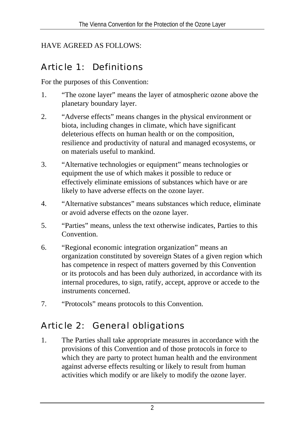#### HAVE AGREED AS FOLLOWS:

## Article 1: Definitions

For the purposes of this Convention:

- 1. "The ozone layer" means the layer of atmospheric ozone above the planetary boundary layer.
- 2. "Adverse effects" means changes in the physical environment or biota, including changes in climate, which have significant deleterious effects on human health or on the composition, resilience and productivity of natural and managed ecosystems, or on materials useful to mankind.
- 3. "Alternative technologies or equipment" means technologies or equipment the use of which makes it possible to reduce or effectively eliminate emissions of substances which have or are likely to have adverse effects on the ozone layer.
- 4. "Alternative substances" means substances which reduce, eliminate or avoid adverse effects on the ozone layer.
- 5. "Parties" means, unless the text otherwise indicates, Parties to this Convention.
- 6. "Regional economic integration organization" means an organization constituted by sovereign States of a given region which has competence in respect of matters governed by this Convention or its protocols and has been duly authorized, in accordance with its internal procedures, to sign, ratify, accept, approve or accede to the instruments concerned.
- 7. "Protocols" means protocols to this Convention.

# Article 2: General obligations

1. The Parties shall take appropriate measures in accordance with the provisions of this Convention and of those protocols in force to which they are party to protect human health and the environment against adverse effects resulting or likely to result from human activities which modify or are likely to modify the ozone layer.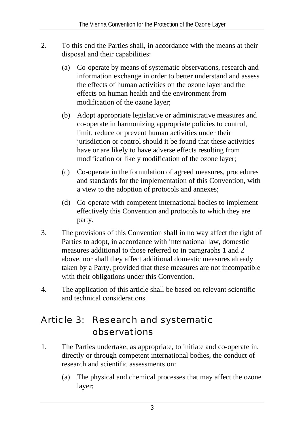- 2. To this end the Parties shall, in accordance with the means at their disposal and their capabilities:
	- (a) Co-operate by means of systematic observations, research and information exchange in order to better understand and assess the effects of human activities on the ozone layer and the effects on human health and the environment from modification of the ozone layer;
	- (b) Adopt appropriate legislative or administrative measures and co-operate in harmonizing appropriate policies to control, limit, reduce or prevent human activities under their jurisdiction or control should it be found that these activities have or are likely to have adverse effects resulting from modification or likely modification of the ozone layer;
	- (c) Co-operate in the formulation of agreed measures, procedures and standards for the implementation of this Convention, with a view to the adoption of protocols and annexes;
	- (d) Co-operate with competent international bodies to implement effectively this Convention and protocols to which they are party.
- 3. The provisions of this Convention shall in no way affect the right of Parties to adopt, in accordance with international law, domestic measures additional to those referred to in paragraphs 1 and 2 above, nor shall they affect additional domestic measures already taken by a Party, provided that these measures are not incompatible with their obligations under this Convention.
- 4. The application of this article shall be based on relevant scientific and technical considerations.

## Article 3: Research and systematic observations

- 1. The Parties undertake, as appropriate, to initiate and co-operate in, directly or through competent international bodies, the conduct of research and scientific assessments on:
	- (a) The physical and chemical processes that may affect the ozone layer;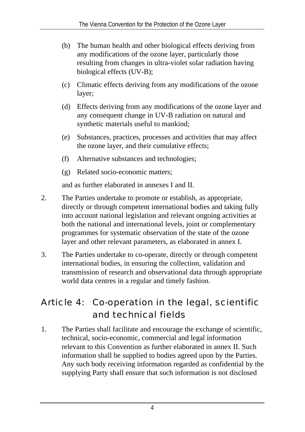- (b) The human health and other biological effects deriving from any modifications of the ozone layer, particularly those resulting from changes in ultra-violet solar radiation having biological effects (UV-B);
- (c) Climatic effects deriving from any modifications of the ozone layer;
- (d) Effects deriving from any modifications of the ozone layer and any consequent change in UV-B radiation on natural and synthetic materials useful to mankind;
- (e) Substances, practices, processes and activities that may affect the ozone layer, and their cumulative effects;
- (f) Alternative substances and technologies;
- (g) Related socio-economic matters;

and as further elaborated in annexes I and II.

- 2. The Parties undertake to promote or establish, as appropriate, directly or through competent international bodies and taking fully into account national legislation and relevant ongoing activities at both the national and international levels, joint or complementary programmes for systematic observation of the state of the ozone layer and other relevant parameters, as elaborated in annex I.
- 3. The Parties undertake to co-operate, directly or through competent international bodies, in ensuring the collection, validation and transmission of research and observational data through appropriate world data centres in a regular and timely fashion.

# Article 4: Co-operation in the legal, scientific and technical fields

1. The Parties shall facilitate and encourage the exchange of scientific, technical, socio-economic, commercial and legal information relevant to this Convention as further elaborated in annex II. Such information shall be supplied to bodies agreed upon by the Parties. Any such body receiving information regarded as confidential by the supplying Party shall ensure that such information is not disclosed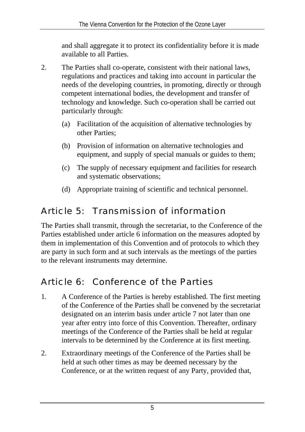and shall aggregate it to protect its confidentiality before it is made available to all Parties.

- 2. The Parties shall co-operate, consistent with their national laws, regulations and practices and taking into account in particular the needs of the developing countries, in promoting, directly or through competent international bodies, the development and transfer of technology and knowledge. Such co-operation shall be carried out particularly through:
	- (a) Facilitation of the acquisition of alternative technologies by other Parties;
	- (b) Provision of information on alternative technologies and equipment, and supply of special manuals or guides to them;
	- (c) The supply of necessary equipment and facilities for research and systematic observations;
	- (d) Appropriate training of scientific and technical personnel.

## Article 5: Transmission of information

The Parties shall transmit, through the secretariat, to the Conference of the Parties established under article 6 information on the measures adopted by them in implementation of this Convention and of protocols to which they are party in such form and at such intervals as the meetings of the parties to the relevant instruments may determine.

# Article 6: Conference of the Parties

- 1. A Conference of the Parties is hereby established. The first meeting of the Conference of the Parties shall be convened by the secretariat designated on an interim basis under article 7 not later than one year after entry into force of this Convention. Thereafter, ordinary meetings of the Conference of the Parties shall be held at regular intervals to be determined by the Conference at its first meeting.
- 2. Extraordinary meetings of the Conference of the Parties shall be held at such other times as may be deemed necessary by the Conference, or at the written request of any Party, provided that,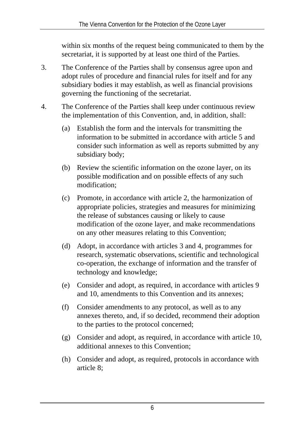within six months of the request being communicated to them by the secretariat, it is supported by at least one third of the Parties.

- 3. The Conference of the Parties shall by consensus agree upon and adopt rules of procedure and financial rules for itself and for any subsidiary bodies it may establish, as well as financial provisions governing the functioning of the secretariat.
- 4. The Conference of the Parties shall keep under continuous review the implementation of this Convention, and, in addition, shall:
	- (a) Establish the form and the intervals for transmitting the information to be submitted in accordance with article 5 and consider such information as well as reports submitted by any subsidiary body;
	- (b) Review the scientific information on the ozone layer, on its possible modification and on possible effects of any such modification;
	- (c) Promote, in accordance with article 2, the harmonization of appropriate policies, strategies and measures for minimizing the release of substances causing or likely to cause modification of the ozone layer, and make recommendations on any other measures relating to this Convention;
	- (d) Adopt, in accordance with articles 3 and 4, programmes for research, systematic observations, scientific and technological co-operation, the exchange of information and the transfer of technology and knowledge;
	- (e) Consider and adopt, as required, in accordance with articles 9 and 10, amendments to this Convention and its annexes;
	- (f) Consider amendments to any protocol, as well as to any annexes thereto, and, if so decided, recommend their adoption to the parties to the protocol concerned;
	- (g) Consider and adopt, as required, in accordance with article 10, additional annexes to this Convention;
	- (h) Consider and adopt, as required, protocols in accordance with article 8;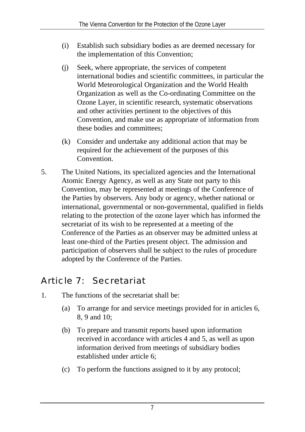- (i) Establish such subsidiary bodies as are deemed necessary for the implementation of this Convention;
- (j) Seek, where appropriate, the services of competent international bodies and scientific committees, in particular the World Meteorological Organization and the World Health Organization as well as the Co-ordinating Committee on the Ozone Layer, in scientific research, systematic observations and other activities pertinent to the objectives of this Convention, and make use as appropriate of information from these bodies and committees;
- (k) Consider and undertake any additional action that may be required for the achievement of the purposes of this **Convention**
- 5. The United Nations, its specialized agencies and the International Atomic Energy Agency, as well as any State not party to this Convention, may be represented at meetings of the Conference of the Parties by observers. Any body or agency, whether national or international, governmental or non-governmental, qualified in fields relating to the protection of the ozone layer which has informed the secretariat of its wish to be represented at a meeting of the Conference of the Parties as an observer may be admitted unless at least one-third of the Parties present object. The admission and participation of observers shall be subject to the rules of procedure adopted by the Conference of the Parties.

#### Article 7: Secretariat

- 1. The functions of the secretariat shall be:
	- (a) To arrange for and service meetings provided for in articles 6, 8, 9 and 10;
	- (b) To prepare and transmit reports based upon information received in accordance with articles 4 and 5, as well as upon information derived from meetings of subsidiary bodies established under article 6;
	- (c) To perform the functions assigned to it by any protocol;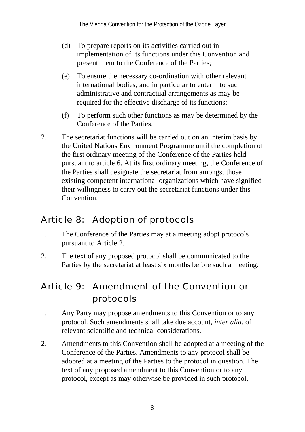- (d) To prepare reports on its activities carried out in implementation of its functions under this Convention and present them to the Conference of the Parties;
- (e) To ensure the necessary co-ordination with other relevant international bodies, and in particular to enter into such administrative and contractual arrangements as may be required for the effective discharge of its functions;
- (f) To perform such other functions as may be determined by the Conference of the Parties.
- 2. The secretariat functions will be carried out on an interim basis by the United Nations Environment Programme until the completion of the first ordinary meeting of the Conference of the Parties held pursuant to article 6. At its first ordinary meeting, the Conference of the Parties shall designate the secretariat from amongst those existing competent international organizations which have signified their willingness to carry out the secretariat functions under this **Convention**

## Article 8: Adoption of protocols

- 1. The Conference of the Parties may at a meeting adopt protocols pursuant to Article 2.
- 2. The text of any proposed protocol shall be communicated to the Parties by the secretariat at least six months before such a meeting.

### Article 9: Amendment of the Convention or protocols

- 1. Any Party may propose amendments to this Convention or to any protocol. Such amendments shall take due account, *inter alia*, of relevant scientific and technical considerations.
- 2. Amendments to this Convention shall be adopted at a meeting of the Conference of the Parties. Amendments to any protocol shall be adopted at a meeting of the Parties to the protocol in question. The text of any proposed amendment to this Convention or to any protocol, except as may otherwise be provided in such protocol,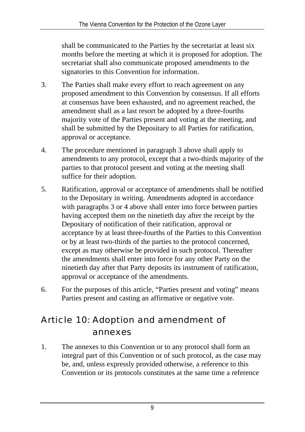shall be communicated to the Parties by the secretariat at least six months before the meeting at which it is proposed for adoption. The secretariat shall also communicate proposed amendments to the signatories to this Convention for information.

- 3. The Parties shall make every effort to reach agreement on any proposed amendment to this Convention by consensus. If all efforts at consensus have been exhausted, and no agreement reached, the amendment shall as a last resort be adopted by a three-fourths majority vote of the Parties present and voting at the meeting, and shall be submitted by the Depositary to all Parties for ratification, approval or acceptance.
- 4. The procedure mentioned in paragraph 3 above shall apply to amendments to any protocol, except that a two-thirds majority of the parties to that protocol present and voting at the meeting shall suffice for their adoption.
- 5. Ratification, approval or acceptance of amendments shall be notified to the Depositary in writing. Amendments adopted in accordance with paragraphs 3 or 4 above shall enter into force between parties having accepted them on the ninetieth day after the receipt by the Depositary of notification of their ratification, approval or acceptance by at least three-fourths of the Parties to this Convention or by at least two-thirds of the parties to the protocol concerned, except as may otherwise be provided in such protocol. Thereafter the amendments shall enter into force for any other Party on the ninetieth day after that Party deposits its instrument of ratification, approval or acceptance of the amendments.
- 6. For the purposes of this article, "Parties present and voting" means Parties present and casting an affirmative or negative vote.

### Article 10: Adoption and amendment of annexes

1. The annexes to this Convention or to any protocol shall form an integral part of this Convention or of such protocol, as the case may be, and, unless expressly provided otherwise, a reference to this Convention or its protocols constitutes at the same time a reference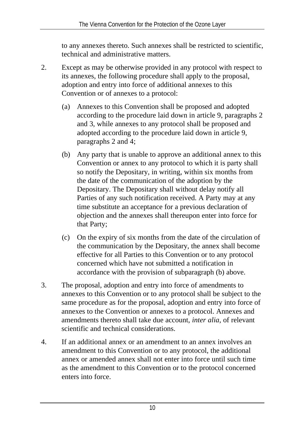to any annexes thereto. Such annexes shall be restricted to scientific, technical and administrative matters.

- 2. Except as may be otherwise provided in any protocol with respect to its annexes, the following procedure shall apply to the proposal, adoption and entry into force of additional annexes to this Convention or of annexes to a protocol:
	- (a) Annexes to this Convention shall be proposed and adopted according to the procedure laid down in article 9, paragraphs 2 and 3, while annexes to any protocol shall be proposed and adopted according to the procedure laid down in article 9, paragraphs 2 and 4;
	- (b) Any party that is unable to approve an additional annex to this Convention or annex to any protocol to which it is party shall so notify the Depositary, in writing, within six months from the date of the communication of the adoption by the Depositary. The Depositary shall without delay notify all Parties of any such notification received. A Party may at any time substitute an acceptance for a previous declaration of objection and the annexes shall thereupon enter into force for that Party;
	- (c) On the expiry of six months from the date of the circulation of the communication by the Depositary, the annex shall become effective for all Parties to this Convention or to any protocol concerned which have not submitted a notification in accordance with the provision of subparagraph (b) above.
- 3. The proposal, adoption and entry into force of amendments to annexes to this Convention or to any protocol shall be subject to the same procedure as for the proposal, adoption and entry into force of annexes to the Convention or annexes to a protocol. Annexes and amendments thereto shall take due account, *inter alia*, of relevant scientific and technical considerations.
- 4. If an additional annex or an amendment to an annex involves an amendment to this Convention or to any protocol, the additional annex or amended annex shall not enter into force until such time as the amendment to this Convention or to the protocol concerned enters into force.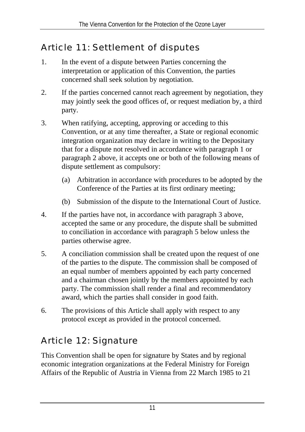# Article 11: Settlement of disputes

- 1. In the event of a dispute between Parties concerning the interpretation or application of this Convention, the parties concerned shall seek solution by negotiation.
- 2. If the parties concerned cannot reach agreement by negotiation, they may jointly seek the good offices of, or request mediation by, a third party.
- 3. When ratifying, accepting, approving or acceding to this Convention, or at any time thereafter, a State or regional economic integration organization may declare in writing to the Depositary that for a dispute not resolved in accordance with paragraph 1 or paragraph 2 above, it accepts one or both of the following means of dispute settlement as compulsory:
	- (a) Arbitration in accordance with procedures to be adopted by the Conference of the Parties at its first ordinary meeting;
	- (b) Submission of the dispute to the International Court of Justice.
- 4. If the parties have not, in accordance with paragraph 3 above, accepted the same or any procedure, the dispute shall be submitted to conciliation in accordance with paragraph 5 below unless the parties otherwise agree.
- 5. A conciliation commission shall be created upon the request of one of the parties to the dispute. The commission shall be composed of an equal number of members appointed by each party concerned and a chairman chosen jointly by the members appointed by each party. The commission shall render a final and recommendatory award, which the parties shall consider in good faith.
- 6. The provisions of this Article shall apply with respect to any protocol except as provided in the protocol concerned.

# Article 12: Signature

This Convention shall be open for signature by States and by regional economic integration organizations at the Federal Ministry for Foreign Affairs of the Republic of Austria in Vienna from 22 March 1985 to 21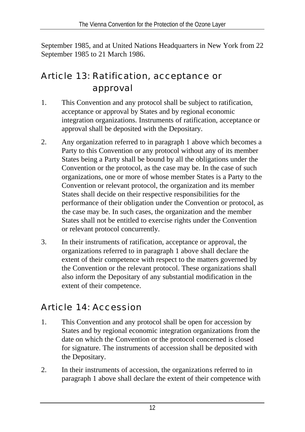September 1985, and at United Nations Headquarters in New York from 22 September 1985 to 21 March 1986.

# Article 13: Ratification, acceptance or approval

- 1. This Convention and any protocol shall be subject to ratification, acceptance or approval by States and by regional economic integration organizations. Instruments of ratification, acceptance or approval shall be deposited with the Depositary.
- 2. Any organization referred to in paragraph 1 above which becomes a Party to this Convention or any protocol without any of its member States being a Party shall be bound by all the obligations under the Convention or the protocol, as the case may be. In the case of such organizations, one or more of whose member States is a Party to the Convention or relevant protocol, the organization and its member States shall decide on their respective responsibilities for the performance of their obligation under the Convention or protocol, as the case may be. In such cases, the organization and the member States shall not be entitled to exercise rights under the Convention or relevant protocol concurrently.
- 3. In their instruments of ratification, acceptance or approval, the organizations referred to in paragraph 1 above shall declare the extent of their competence with respect to the matters governed by the Convention or the relevant protocol. These organizations shall also inform the Depositary of any substantial modification in the extent of their competence.

#### Article 14: Accession

- 1. This Convention and any protocol shall be open for accession by States and by regional economic integration organizations from the date on which the Convention or the protocol concerned is closed for signature. The instruments of accession shall be deposited with the Depositary.
- 2. In their instruments of accession, the organizations referred to in paragraph 1 above shall declare the extent of their competence with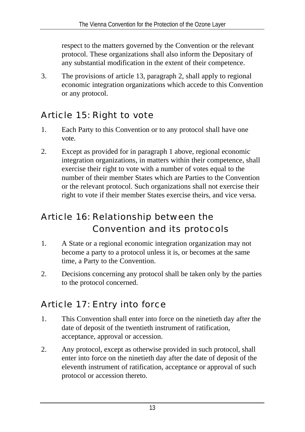respect to the matters governed by the Convention or the relevant protocol. These organizations shall also inform the Depositary of any substantial modification in the extent of their competence.

3. The provisions of article 13, paragraph 2, shall apply to regional economic integration organizations which accede to this Convention or any protocol.

## Article 15: Right to vote

- 1. Each Party to this Convention or to any protocol shall have one vote.
- 2. Except as provided for in paragraph 1 above, regional economic integration organizations, in matters within their competence, shall exercise their right to vote with a number of votes equal to the number of their member States which are Parties to the Convention or the relevant protocol. Such organizations shall not exercise their right to vote if their member States exercise theirs, and vice versa.

## Article 16: Relationship between the Convention and its protocols

- 1. A State or a regional economic integration organization may not become a party to a protocol unless it is, or becomes at the same time, a Party to the Convention.
- 2. Decisions concerning any protocol shall be taken only by the parties to the protocol concerned.

# Article 17: Entry into force

- 1. This Convention shall enter into force on the ninetieth day after the date of deposit of the twentieth instrument of ratification, acceptance, approval or accession.
- 2. Any protocol, except as otherwise provided in such protocol, shall enter into force on the ninetieth day after the date of deposit of the eleventh instrument of ratification, acceptance or approval of such protocol or accession thereto.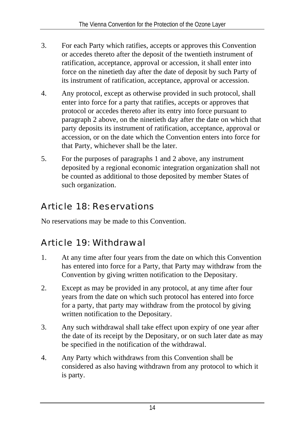- 3. For each Party which ratifies, accepts or approves this Convention or accedes thereto after the deposit of the twentieth instrument of ratification, acceptance, approval or accession, it shall enter into force on the ninetieth day after the date of deposit by such Party of its instrument of ratification, acceptance, approval or accession.
- 4. Any protocol, except as otherwise provided in such protocol, shall enter into force for a party that ratifies, accepts or approves that protocol or accedes thereto after its entry into force pursuant to paragraph 2 above, on the ninetieth day after the date on which that party deposits its instrument of ratification, acceptance, approval or accession, or on the date which the Convention enters into force for that Party, whichever shall be the later.
- 5. For the purposes of paragraphs 1 and 2 above, any instrument deposited by a regional economic integration organization shall not be counted as additional to those deposited by member States of such organization.

### Article 18: Reservations

No reservations may be made to this Convention.

#### Article 19: Withdrawal

- 1. At any time after four years from the date on which this Convention has entered into force for a Party, that Party may withdraw from the Convention by giving written notification to the Depositary.
- 2. Except as may be provided in any protocol, at any time after four years from the date on which such protocol has entered into force for a party, that party may withdraw from the protocol by giving written notification to the Depositary.
- 3. Any such withdrawal shall take effect upon expiry of one year after the date of its receipt by the Depositary, or on such later date as may be specified in the notification of the withdrawal.
- 4. Any Party which withdraws from this Convention shall be considered as also having withdrawn from any protocol to which it is party.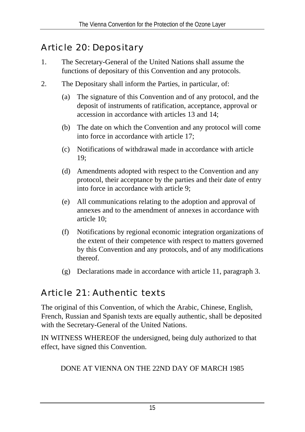# Article 20: Depositary

- 1. The Secretary-General of the United Nations shall assume the functions of depositary of this Convention and any protocols.
- 2. The Depositary shall inform the Parties, in particular, of:
	- (a) The signature of this Convention and of any protocol, and the deposit of instruments of ratification, acceptance, approval or accession in accordance with articles 13 and 14;
	- (b) The date on which the Convention and any protocol will come into force in accordance with article 17;
	- (c) Notifications of withdrawal made in accordance with article 19;
	- (d) Amendments adopted with respect to the Convention and any protocol, their acceptance by the parties and their date of entry into force in accordance with article 9;
	- (e) All communications relating to the adoption and approval of annexes and to the amendment of annexes in accordance with article 10;
	- (f) Notifications by regional economic integration organizations of the extent of their competence with respect to matters governed by this Convention and any protocols, and of any modifications thereof.
	- (g) Declarations made in accordance with article 11, paragraph 3.

#### Article 21: Authentic texts

The original of this Convention, of which the Arabic, Chinese, English, French, Russian and Spanish texts are equally authentic, shall be deposited with the Secretary-General of the United Nations.

IN WITNESS WHEREOF the undersigned, being duly authorized to that effect, have signed this Convention.

#### DONE AT VIENNA ON THE 22ND DAY OF MARCH 1985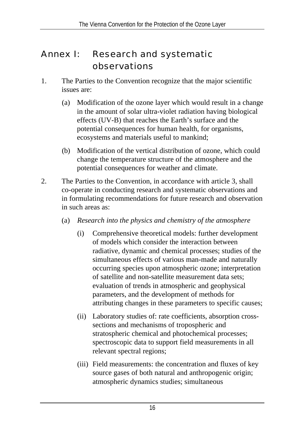# Annex I: Research and systematic observations

- 1. The Parties to the Convention recognize that the major scientific issues are:
	- (a) Modification of the ozone layer which would result in a change in the amount of solar ultra-violet radiation having biological effects (UV-B) that reaches the Earth's surface and the potential consequences for human health, for organisms, ecosystems and materials useful to mankind;
	- (b) Modification of the vertical distribution of ozone, which could change the temperature structure of the atmosphere and the potential consequences for weather and climate.
- 2. The Parties to the Convention, in accordance with article 3, shall co-operate in conducting research and systematic observations and in formulating recommendations for future research and observation in such areas as:
	- (a) *Research into the physics and chemistry of the atmosphere*
		- (i) Comprehensive theoretical models: further development of models which consider the interaction between radiative, dynamic and chemical processes; studies of the simultaneous effects of various man-made and naturally occurring species upon atmospheric ozone; interpretation of satellite and non-satellite measurement data sets; evaluation of trends in atmospheric and geophysical parameters, and the development of methods for attributing changes in these parameters to specific causes;
		- (ii) Laboratory studies of: rate coefficients, absorption crosssections and mechanisms of tropospheric and stratospheric chemical and photochemical processes; spectroscopic data to support field measurements in all relevant spectral regions;
		- (iii) Field measurements: the concentration and fluxes of key source gases of both natural and anthropogenic origin; atmospheric dynamics studies; simultaneous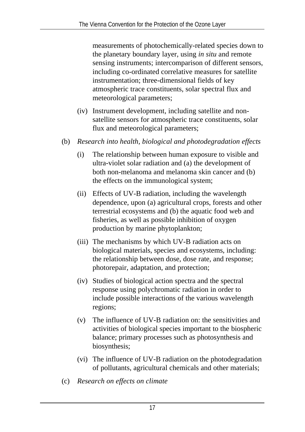measurements of photochemically-related species down to the planetary boundary layer, using *in situ* and remote sensing instruments; intercomparison of different sensors, including co-ordinated correlative measures for satellite instrumentation; three-dimensional fields of key atmospheric trace constituents, solar spectral flux and meteorological parameters;

- (iv) Instrument development, including satellite and nonsatellite sensors for atmospheric trace constituents, solar flux and meteorological parameters;
- (b) *Research into health, biological and photodegradation effects*
	- (i) The relationship between human exposure to visible and ultra-violet solar radiation and (a) the development of both non-melanoma and melanoma skin cancer and (b) the effects on the immunological system;
	- (ii) Effects of UV-B radiation, including the wavelength dependence, upon (a) agricultural crops, forests and other terrestrial ecosystems and (b) the aquatic food web and fisheries, as well as possible inhibition of oxygen production by marine phytoplankton;
	- (iii) The mechanisms by which UV-B radiation acts on biological materials, species and ecosystems, including: the relationship between dose, dose rate, and response; photorepair, adaptation, and protection;
	- (iv) Studies of biological action spectra and the spectral response using polychromatic radiation in order to include possible interactions of the various wavelength regions;
	- (v) The influence of UV-B radiation on: the sensitivities and activities of biological species important to the biospheric balance; primary processes such as photosynthesis and biosynthesis;
	- (vi) The influence of UV-B radiation on the photodegradation of pollutants, agricultural chemicals and other materials;
- (c) *Research on effects on climate*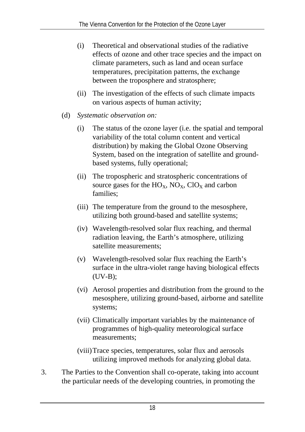- (i) Theoretical and observational studies of the radiative effects of ozone and other trace species and the impact on climate parameters, such as land and ocean surface temperatures, precipitation patterns, the exchange between the troposphere and stratosphere;
- (ii) The investigation of the effects of such climate impacts on various aspects of human activity;
- (d) *Systematic observation on:*
	- (i) The status of the ozone layer (i.e. the spatial and temporal variability of the total column content and vertical distribution) by making the Global Ozone Observing System, based on the integration of satellite and groundbased systems, fully operational;
	- (ii) The tropospheric and stratospheric concentrations of source gases for the  $HO_X$ ,  $NO_X$ ,  $ClO_X$  and carbon families;
	- (iii) The temperature from the ground to the mesosphere, utilizing both ground-based and satellite systems;
	- (iv) Wavelength-resolved solar flux reaching, and thermal radiation leaving, the Earth's atmosphere, utilizing satellite measurements;
	- (v) Wavelength-resolved solar flux reaching the Earth's surface in the ultra-violet range having biological effects (UV-B);
	- (vi) Aerosol properties and distribution from the ground to the mesosphere, utilizing ground-based, airborne and satellite systems;
	- (vii) Climatically important variables by the maintenance of programmes of high-quality meteorological surface measurements;
	- (viii)Trace species, temperatures, solar flux and aerosols utilizing improved methods for analyzing global data.
- 3. The Parties to the Convention shall co-operate, taking into account the particular needs of the developing countries, in promoting the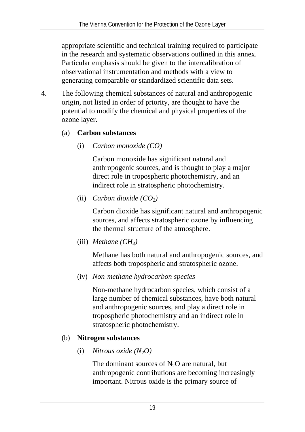appropriate scientific and technical training required to participate in the research and systematic observations outlined in this annex. Particular emphasis should be given to the intercalibration of observational instrumentation and methods with a view to generating comparable or standardized scientific data sets.

4. The following chemical substances of natural and anthropogenic origin, not listed in order of priority, are thought to have the potential to modify the chemical and physical properties of the ozone layer.

#### (a) **Carbon substances**

(i) *Carbon monoxide (CO)*

Carbon monoxide has significant natural and anthropogenic sources, and is thought to play a major direct role in tropospheric photochemistry, and an indirect role in stratospheric photochemistry.

(ii) *Carbon dioxide*  $(CO_2)$ 

Carbon dioxide has significant natural and anthropogenic sources, and affects stratospheric ozone by influencing the thermal structure of the atmosphere.

(iii) *Methane (CH4)*

Methane has both natural and anthropogenic sources, and affects both tropospheric and stratospheric ozone.

(iv) *Non-methane hydrocarbon species*

Non-methane hydrocarbon species, which consist of a large number of chemical substances, have both natural and anthropogenic sources, and play a direct role in tropospheric photochemistry and an indirect role in stratospheric photochemistry.

#### (b) **Nitrogen substances**

(i) *Nitrous oxide (N2O)*

The dominant sources of  $N_2O$  are natural, but anthropogenic contributions are becoming increasingly important. Nitrous oxide is the primary source of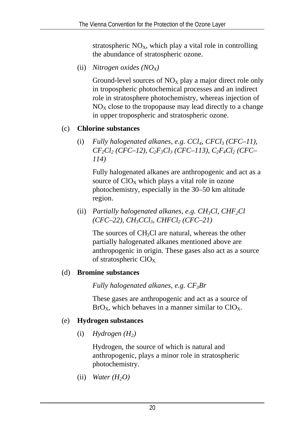stratospheric  $NO<sub>x</sub>$ , which play a vital role in controlling the abundance of stratospheric ozone.

(ii) *Nitrogen oxides (NOX)*

Ground-level sources of  $NO<sub>X</sub>$  play a major direct role only in tropospheric photochemical processes and an indirect role in stratosphere photochemistry, whereas injection of  $NO<sub>x</sub>$  close to the tropopause may lead directly to a change in upper tropospheric and stratospheric ozone.

#### (c) **Chlorine substances**

(i) *Fully halogenated alkanes, e.g. CCl4, CFCl3 (CFC–11), CF2Cl2 (CFC–12), C2F3Cl3 (CFC–113), C2F4Cl2 (CFC– 114)*

Fully halogenated alkanes are anthropogenic and act as a source of  $ClO<sub>x</sub>$  which plays a vital role in ozone photochemistry, especially in the 30–50 km altitude region.

(ii) *Partially halogenated alkanes, e.g. CH3Cl, CHF2Cl (CFC–22), CH3CCl3, CHFCl2 (CFC–21)*

The sources of  $CH<sub>3</sub>Cl$  are natural, whereas the other partially halogenated alkanes mentioned above are anthropogenic in origin. These gases also act as a source of stratospheric  $ClO_{X}$ .

#### (d) **Bromine substances**

*Fully halogenated alkanes, e.g. CF3Br*

These gases are anthropogenic and act as a source of  $BrO_X$ , which behaves in a manner similar to  $ClO_X$ .

#### (e) **Hydrogen substances**

(i) *Hydrogen (H2)*

Hydrogen, the source of which is natural and anthropogenic, plays a minor role in stratospheric photochemistry.

(ii) *Water*  $(H_2O)$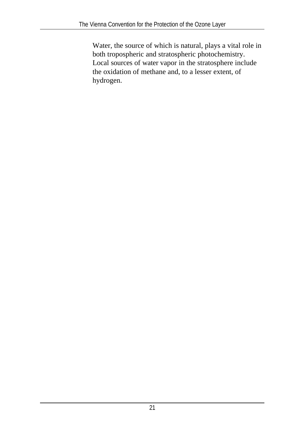Water, the source of which is natural, plays a vital role in both tropospheric and stratospheric photochemistry. Local sources of water vapor in the stratosphere include the oxidation of methane and, to a lesser extent, of hydrogen.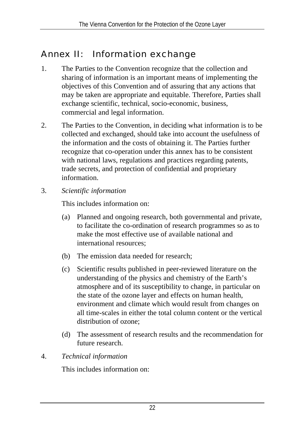## Annex II: Information exchange

- 1. The Parties to the Convention recognize that the collection and sharing of information is an important means of implementing the objectives of this Convention and of assuring that any actions that may be taken are appropriate and equitable. Therefore, Parties shall exchange scientific, technical, socio-economic, business, commercial and legal information.
- 2. The Parties to the Convention, in deciding what information is to be collected and exchanged, should take into account the usefulness of the information and the costs of obtaining it. The Parties further recognize that co-operation under this annex has to be consistent with national laws, regulations and practices regarding patents, trade secrets, and protection of confidential and proprietary information.
- 3. *Scientific information*

This includes information on:

- (a) Planned and ongoing research, both governmental and private, to facilitate the co-ordination of research programmes so as to make the most effective use of available national and international resources;
- (b) The emission data needed for research;
- (c) Scientific results published in peer-reviewed literature on the understanding of the physics and chemistry of the Earth's atmosphere and of its susceptibility to change, in particular on the state of the ozone layer and effects on human health, environment and climate which would result from changes on all time-scales in either the total column content or the vertical distribution of ozone;
- (d) The assessment of research results and the recommendation for future research.
- 4. *Technical information*

This includes information on: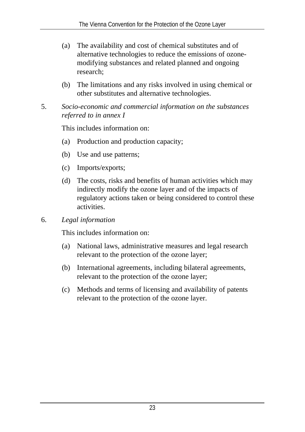- (a) The availability and cost of chemical substitutes and of alternative technologies to reduce the emissions of ozonemodifying substances and related planned and ongoing research;
- (b) The limitations and any risks involved in using chemical or other substitutes and alternative technologies.
- 5. *Socio-economic and commercial information on the substances referred to in annex I*

This includes information on:

- (a) Production and production capacity;
- (b) Use and use patterns;
- (c) Imports/exports;
- (d) The costs, risks and benefits of human activities which may indirectly modify the ozone layer and of the impacts of regulatory actions taken or being considered to control these activities.
- 6. *Legal information*

This includes information on:

- (a) National laws, administrative measures and legal research relevant to the protection of the ozone layer;
- (b) International agreements, including bilateral agreements, relevant to the protection of the ozone layer;
- (c) Methods and terms of licensing and availability of patents relevant to the protection of the ozone layer.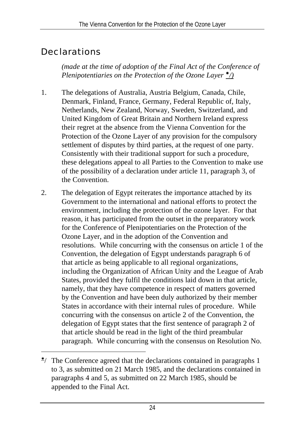### **Declarations**

 $\overline{a}$ 

*(made at the time of adoption of the Final Act of the Conference of Plenipotentiaries on the Protection of the Ozone Layer* \*/

- 1. The delegations of Australia, Austria Belgium, Canada, Chile, Denmark, Finland, France, Germany, Federal Republic of, Italy, Netherlands, New Zealand, Norway, Sweden, Switzerland, and United Kingdom of Great Britain and Northern Ireland express their regret at the absence from the Vienna Convention for the Protection of the Ozone Layer of any provision for the compulsory settlement of disputes by third parties, at the request of one party. Consistently with their traditional support for such a procedure, these delegations appeal to all Parties to the Convention to make use of the possibility of a declaration under article 11, paragraph 3, of the Convention.
- 2. The delegation of Egypt reiterates the importance attached by its Government to the international and national efforts to protect the environment, including the protection of the ozone layer. For that reason, it has participated from the outset in the preparatory work for the Conference of Plenipotentiaries on the Protection of the Ozone Layer, and in the adoption of the Convention and resolutions. While concurring with the consensus on article 1 of the Convention, the delegation of Egypt understands paragraph 6 of that article as being applicable to all regional organizations, including the Organization of African Unity and the League of Arab States, provided they fulfil the conditions laid down in that article, namely, that they have competence in respect of matters governed by the Convention and have been duly authorized by their member States in accordance with their internal rules of procedure. While concurring with the consensus on article 2 of the Convention, the delegation of Egypt states that the first sentence of paragraph 2 of that article should be read in the light of the third preambular paragraph. While concurring with the consensus on Resolution No.

 $*$ / The Conference agreed that the declarations contained in paragraphs 1 to 3, as submitted on 21 March 1985, and the declarations contained in paragraphs 4 and 5, as submitted on 22 March 1985, should be appended to the Final Act.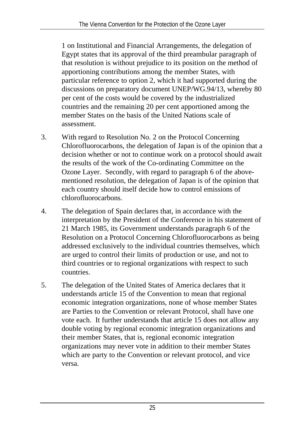1 on Institutional and Financial Arrangements, the delegation of Egypt states that its approval of the third preambular paragraph of that resolution is without prejudice to its position on the method of apportioning contributions among the member States, with particular reference to option 2, which it had supported during the discussions on preparatory document UNEP/WG.94/13, whereby 80 per cent of the costs would be covered by the industrialized countries and the remaining 20 per cent apportioned among the member States on the basis of the United Nations scale of assessment.

- 3. With regard to Resolution No. 2 on the Protocol Concerning Chlorofluorocarbons, the delegation of Japan is of the opinion that a decision whether or not to continue work on a protocol should await the results of the work of the Co-ordinating Committee on the Ozone Layer. Secondly, with regard to paragraph 6 of the abovementioned resolution, the delegation of Japan is of the opinion that each country should itself decide how to control emissions of chlorofluorocarbons.
- 4. The delegation of Spain declares that, in accordance with the interpretation by the President of the Conference in his statement of 21 March 1985, its Government understands paragraph 6 of the Resolution on a Protocol Concerning Chlorofluorocarbons as being addressed exclusively to the individual countries themselves, which are urged to control their limits of production or use, and not to third countries or to regional organizations with respect to such countries.
- 5. The delegation of the United States of America declares that it understands article 15 of the Convention to mean that regional economic integration organizations, none of whose member States are Parties to the Convention or relevant Protocol, shall have one vote each. It further understands that article 15 does not allow any double voting by regional economic integration organizations and their member States, that is, regional economic integration organizations may never vote in addition to their member States which are party to the Convention or relevant protocol, and vice versa.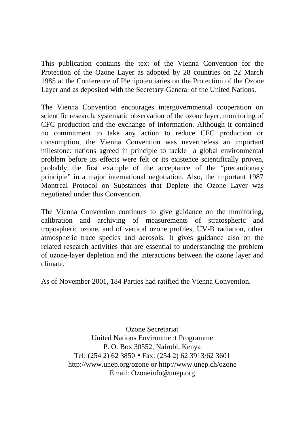This publication contains the text of the Vienna Convention for the Protection of the Ozone Layer as adopted by 28 countries on 22 March 1985 at the Conference of Plenipotentiaries on the Protection of the Ozone Layer and as deposited with the Secretary-General of the United Nations.

The Vienna Convention encourages intergovernmental cooperation on scientific research, systematic observation of the ozone layer, monitoring of CFC production and the exchange of information. Although it contained no commitment to take any action to reduce CFC production or consumption, the Vienna Convention was nevertheless an important milestone: nations agreed in principle to tackle a global environmental problem before its effects were felt or its existence scientifically proven, probably the first example of the acceptance of the "precautionary principle" in a major international negotiation. Also, the important 1987 Montreal Protocol on Substances that Deplete the Ozone Layer was negotiated under this Convention.

The Vienna Convention continues to give guidance on the monitoring, calibration and archiving of measurements of stratospheric and tropospheric ozone, and of vertical ozone profiles, UV-B radiation, other atmospheric trace species and aerosols. It gives guidance also on the related research activities that are essential to understanding the problem of ozone-layer depletion and the interactions between the ozone layer and climate.

As of November 2001, 184 Parties had ratified the Vienna Convention.

Ozone Secretariat United Nations Environment Programme P. O. Box 30552, Nairobi, Kenya Tel: (254 2) 62 3850 • Fax: (254 2) 62 3913/62 3601 http://www.unep.org/ozone or http://www.unep.ch/ozone Email: Ozoneinfo@unep.org